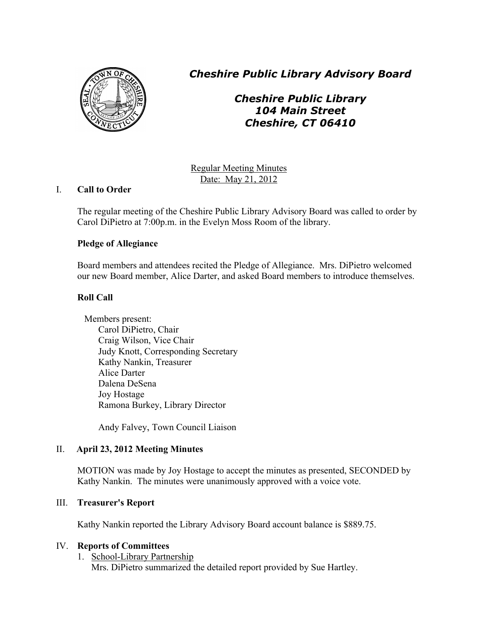

*Cheshire Public Library Advisory Board*

# *Cheshire Public Library 104 Main Street Cheshire, CT 06410*

Regular Meeting Minutes Date: May 21, 2012

# I. **Call to Order**

The regular meeting of the Cheshire Public Library Advisory Board was called to order by Carol DiPietro at 7:00p.m. in the Evelyn Moss Room of the library.

# **Pledge of Allegiance**

Board members and attendees recited the Pledge of Allegiance. Mrs. DiPietro welcomed our new Board member, Alice Darter, and asked Board members to introduce themselves.

# **Roll Call**

Members present: Carol DiPietro, Chair Craig Wilson, Vice Chair Judy Knott, Corresponding Secretary Kathy Nankin, Treasurer Alice Darter Dalena DeSena Joy Hostage Ramona Burkey, Library Director

Andy Falvey, Town Council Liaison

# II. **April 23, 2012 Meeting Minutes**

MOTION was made by Joy Hostage to accept the minutes as presented, SECONDED by Kathy Nankin. The minutes were unanimously approved with a voice vote.

# III. **Treasurer's Report**

Kathy Nankin reported the Library Advisory Board account balance is \$889.75.

# IV. **Reports of Committees**

#### 1. School-Library Partnership Mrs. DiPietro summarized the detailed report provided by Sue Hartley.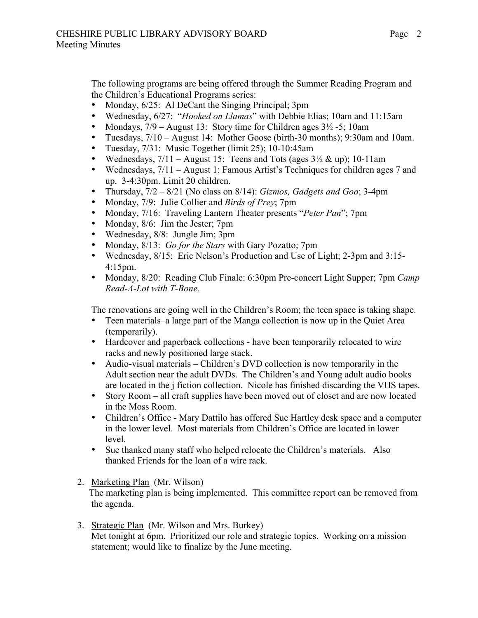The following programs are being offered through the Summer Reading Program and the Children's Educational Programs series:

- Monday,  $6/25$ : Al DeCant the Singing Principal; 3pm
- Wednesday, 6/27: "*Hooked on Llamas*" with Debbie Elias; 10am and 11:15am
- Mondays,  $7/9$  August 13: Story time for Children ages  $3\frac{1}{2}$  -5; 10am
- Tuesdays, 7/10 August 14: Mother Goose (birth-30 months); 9:30am and 10am.
- Tuesday, 7/31: Music Together (limit 25); 10-10:45am
- Wednesdays,  $7/11 -$ August 15: Teens and Tots (ages  $3\frac{1}{2}$  & up); 10-11am
- Wednesdays,  $7/11 -$  August 1: Famous Artist's Techniques for children ages 7 and up. 3-4:30pm. Limit 20 children.
- Thursday, 7/2 8/21 (No class on 8/14): *Gizmos, Gadgets and Goo*; 3-4pm
- Monday, 7/9: Julie Collier and *Birds of Prey*; 7pm
- Monday, 7/16: Traveling Lantern Theater presents "*Peter Pan*"; 7pm
- Monday, 8/6: Jim the Jester; 7pm
- Wednesday, 8/8: Jungle Jim; 3pm
- Monday, 8/13: *Go for the Stars* with Gary Pozatto; 7pm
- Wednesday, 8/15: Eric Nelson's Production and Use of Light; 2-3pm and 3:15- 4:15pm.
- Monday, 8/20: Reading Club Finale: 6:30pm Pre-concert Light Supper; 7pm *Camp Read-A-Lot with T-Bone.*

The renovations are going well in the Children's Room; the teen space is taking shape.

- Teen materials–a large part of the Manga collection is now up in the Quiet Area (temporarily).
- Hardcover and paperback collections have been temporarily relocated to wire racks and newly positioned large stack.
- Audio-visual materials Children's DVD collection is now temporarily in the Adult section near the adult DVDs. The Children's and Young adult audio books are located in the j fiction collection. Nicole has finished discarding the VHS tapes.
- Story Room all craft supplies have been moved out of closet and are now located in the Moss Room.
- Children's Office Mary Dattilo has offered Sue Hartley desk space and a computer in the lower level. Most materials from Children's Office are located in lower level.
- Sue thanked many staff who helped relocate the Children's materials. Also thanked Friends for the loan of a wire rack.
- 2. Marketing Plan (Mr. Wilson)

 The marketing plan is being implemented. This committee report can be removed from the agenda.

3. Strategic Plan (Mr. Wilson and Mrs. Burkey) Met tonight at 6pm. Prioritized our role and strategic topics. Working on a mission statement; would like to finalize by the June meeting.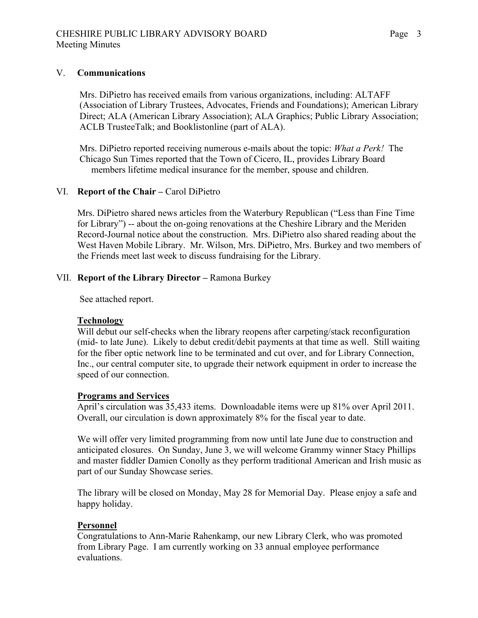### V. **Communications**

 Mrs. DiPietro has received emails from various organizations, including: ALTAFF (Association of Library Trustees, Advocates, Friends and Foundations); American Library Direct; ALA (American Library Association); ALA Graphics; Public Library Association; ACLB TrusteeTalk; and Booklistonline (part of ALA).

 Mrs. DiPietro reported receiving numerous e-mails about the topic: *What a Perk!* The Chicago Sun Times reported that the Town of Cicero, IL, provides Library Board members lifetime medical insurance for the member, spouse and children.

### VI. **Report of the Chair –** Carol DiPietro

Mrs. DiPietro shared news articles from the Waterbury Republican ("Less than Fine Time for Library") -- about the on-going renovations at the Cheshire Library and the Meriden Record-Journal notice about the construction. Mrs. DiPietro also shared reading about the West Haven Mobile Library. Mr. Wilson, Mrs. DiPietro, Mrs. Burkey and two members of the Friends meet last week to discuss fundraising for the Library.

### VII. **Report of the Library Director –** Ramona Burkey

See attached report.

#### **Technology**

Will debut our self-checks when the library reopens after carpeting/stack reconfiguration (mid- to late June). Likely to debut credit/debit payments at that time as well. Still waiting for the fiber optic network line to be terminated and cut over, and for Library Connection, Inc., our central computer site, to upgrade their network equipment in order to increase the speed of our connection.

#### **Programs and Services**

April's circulation was 35,433 items. Downloadable items were up 81% over April 2011. Overall, our circulation is down approximately 8% for the fiscal year to date.

We will offer very limited programming from now until late June due to construction and anticipated closures. On Sunday, June 3, we will welcome Grammy winner Stacy Phillips and master fiddler Damien Conolly as they perform traditional American and Irish music as part of our Sunday Showcase series.

The library will be closed on Monday, May 28 for Memorial Day. Please enjoy a safe and happy holiday.

#### **Personnel**

Congratulations to Ann-Marie Rahenkamp, our new Library Clerk, who was promoted from Library Page. I am currently working on 33 annual employee performance evaluations.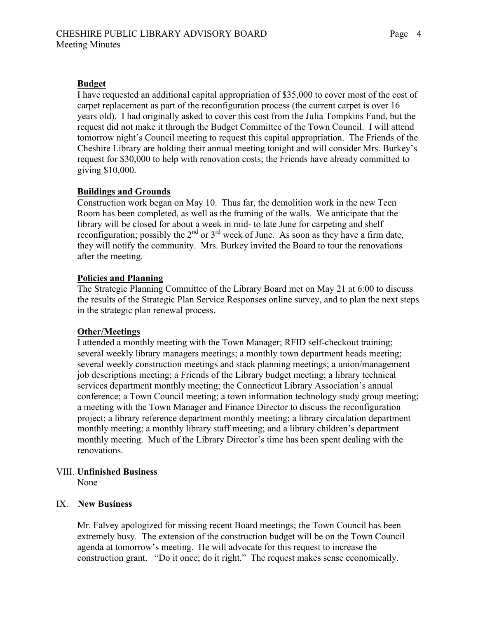### **Budget**

I have requested an additional capital appropriation of \$35,000 to cover most of the cost of carpet replacement as part of the reconfiguration process (the current carpet is over 16 years old). I had originally asked to cover this cost from the Julia Tompkins Fund, but the request did not make it through the Budget Committee of the Town Council. I will attend tomorrow night's Council meeting to request this capital appropriation. The Friends of the Cheshire Library are holding their annual meeting tonight and will consider Mrs. Burkey's request for \$30,000 to help with renovation costs; the Friends have already committed to giving \$10,000.

### **Buildings and Grounds**

Construction work began on May 10. Thus far, the demolition work in the new Teen Room has been completed, as well as the framing of the walls. We anticipate that the library will be closed for about a week in mid- to late June for carpeting and shelf reconfiguration; possibly the  $2<sup>nd</sup>$  or  $3<sup>rd</sup>$  week of June. As soon as they have a firm date, they will notify the community. Mrs. Burkey invited the Board to tour the renovations after the meeting.

#### **Policies and Planning**

The Strategic Planning Committee of the Library Board met on May 21 at 6:00 to discuss the results of the Strategic Plan Service Responses online survey, and to plan the next steps in the strategic plan renewal process.

#### **Other/Meetings**

I attended a monthly meeting with the Town Manager; RFID self-checkout training; several weekly library managers meetings; a monthly town department heads meeting; several weekly construction meetings and stack planning meetings; a union/management job descriptions meeting; a Friends of the Library budget meeting; a library technical services department monthly meeting; the Connecticut Library Association's annual conference; a Town Council meeting; a town information technology study group meeting; a meeting with the Town Manager and Finance Director to discuss the reconfiguration project; a library reference department monthly meeting; a library circulation department monthly meeting; a monthly library staff meeting; and a library children's department monthly meeting. Much of the Library Director's time has been spent dealing with the renovations.

#### VIII. **Unfinished Business**

None

### IX. **New Business**

Mr. Falvey apologized for missing recent Board meetings; the Town Council has been extremely busy. The extension of the construction budget will be on the Town Council agenda at tomorrow's meeting. He will advocate for this request to increase the construction grant. "Do it once; do it right." The request makes sense economically.